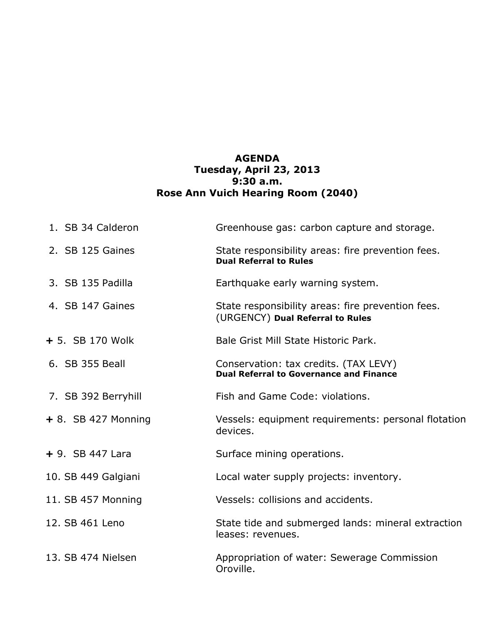## **AGENDA Tuesday, April 23, 2013 9:30 a.m. Rose Ann Vuich Hearing Room (2040)**

| 1. SB 34 Calderon     | Greenhouse gas: carbon capture and storage.                                             |
|-----------------------|-----------------------------------------------------------------------------------------|
| 2. SB 125 Gaines      | State responsibility areas: fire prevention fees.<br><b>Dual Referral to Rules</b>      |
| 3. SB 135 Padilla     | Earthquake early warning system.                                                        |
| 4. SB 147 Gaines      | State responsibility areas: fire prevention fees.<br>(URGENCY) Dual Referral to Rules   |
| + 5. SB 170 Wolk      | Bale Grist Mill State Historic Park.                                                    |
| 6. SB 355 Beall       | Conservation: tax credits. (TAX LEVY)<br><b>Dual Referral to Governance and Finance</b> |
| 7. SB 392 Berryhill   | Fish and Game Code: violations.                                                         |
| $+ 8.$ SB 427 Monning | Vessels: equipment requirements: personal flotation<br>devices.                         |
| $+9.$ SB 447 Lara     | Surface mining operations.                                                              |
| 10. SB 449 Galgiani   | Local water supply projects: inventory.                                                 |
| 11. SB 457 Monning    | Vessels: collisions and accidents.                                                      |
| 12. SB 461 Leno       | State tide and submerged lands: mineral extraction<br>leases: revenues.                 |
| 13. SB 474 Nielsen    | Appropriation of water: Sewerage Commission<br>Oroville.                                |